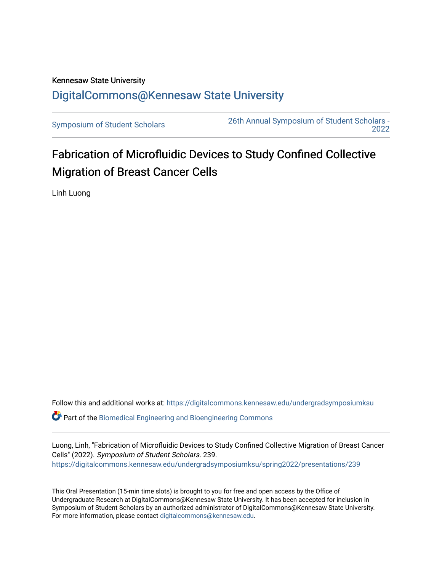## Kennesaw State University [DigitalCommons@Kennesaw State University](https://digitalcommons.kennesaw.edu/)

[Symposium of Student Scholars](https://digitalcommons.kennesaw.edu/undergradsymposiumksu) [26th Annual Symposium of Student Scholars -](https://digitalcommons.kennesaw.edu/undergradsymposiumksu/spring2022)  [2022](https://digitalcommons.kennesaw.edu/undergradsymposiumksu/spring2022) 

# Fabrication of Microfluidic Devices to Study Confined Collective Migration of Breast Cancer Cells

Linh Luong

Follow this and additional works at: [https://digitalcommons.kennesaw.edu/undergradsymposiumksu](https://digitalcommons.kennesaw.edu/undergradsymposiumksu?utm_source=digitalcommons.kennesaw.edu%2Fundergradsymposiumksu%2Fspring2022%2Fpresentations%2F239&utm_medium=PDF&utm_campaign=PDFCoverPages) 

 $\bullet$  Part of the Biomedical Engineering and Bioengineering Commons

Luong, Linh, "Fabrication of Microfluidic Devices to Study Confined Collective Migration of Breast Cancer Cells" (2022). Symposium of Student Scholars. 239. [https://digitalcommons.kennesaw.edu/undergradsymposiumksu/spring2022/presentations/239](https://digitalcommons.kennesaw.edu/undergradsymposiumksu/spring2022/presentations/239?utm_source=digitalcommons.kennesaw.edu%2Fundergradsymposiumksu%2Fspring2022%2Fpresentations%2F239&utm_medium=PDF&utm_campaign=PDFCoverPages)

This Oral Presentation (15-min time slots) is brought to you for free and open access by the Office of Undergraduate Research at DigitalCommons@Kennesaw State University. It has been accepted for inclusion in Symposium of Student Scholars by an authorized administrator of DigitalCommons@Kennesaw State University. For more information, please contact [digitalcommons@kennesaw.edu.](mailto:digitalcommons@kennesaw.edu)